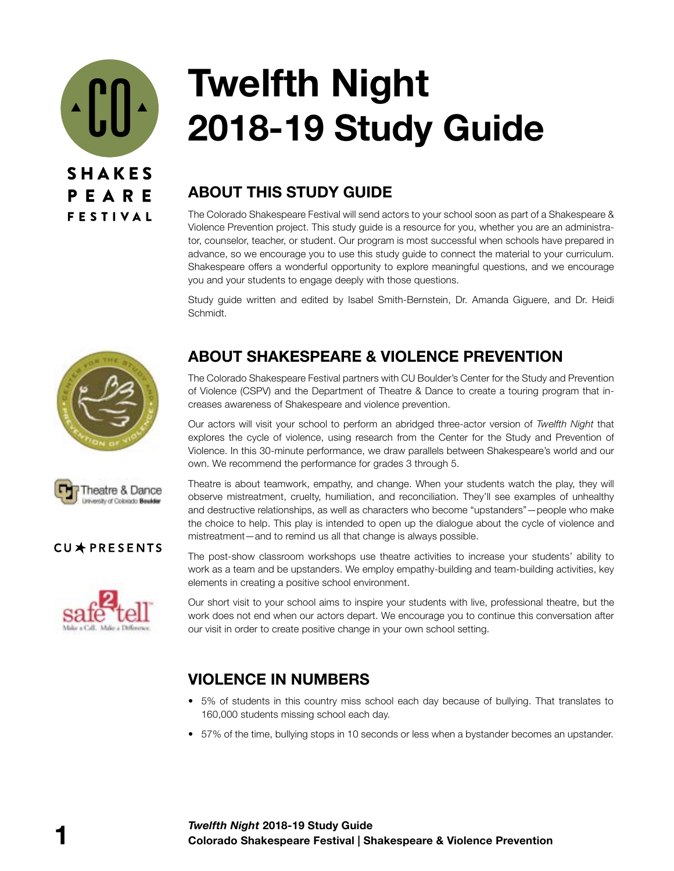

# **Twelfth Night 2018-19 Study Guide**

# **ABOUT THIS STUDY GUIDE**

The Colorado Shakespeare Festival will send actors to your school soon as part of a Shakespeare & Violence Prevention project. This study guide is a resource for you, whether you are an administrator, counselor, teacher, or student. Our program is most successful when schools have prepared in advance, so we encourage you to use this study guide to connect the material to your curriculum. Shakespeare offers a wonderful opportunity to explore meaningful questions, and we encourage you and your students to engage deeply with those questions.

Study guide written and edited by Isabel Smith-Bernstein, Dr. Amanda Giguere, and Dr. Heidi Schmidt.





The Colorado Shakespeare Festival partners with CU Boulder's Center for the Study and Prevention of Violence (CSPV) and the Department of Theatre & Dance to create a touring program that increases awareness of Shakespeare and violence prevention.

Our actors will visit your school to perform an abridged three-actor version of *Twelfth Night* that explores the cycle of violence, using research from the Center for the Study and Prevention of Violence. In this 30-minute performance, we draw parallels between Shakespeare's world and our own. We recommend the performance for grades 3 through 5.

Theatre is about teamwork, empathy, and change. When your students watch the play, they will observe mistreatment, cruelty, humiliation, and reconciliation. They'll see examples of unhealthy and destructive relationships, as well as characters who become "upstanders"—people who make the choice to help. This play is intended to open up the dialogue about the cycle of violence and mistreatment—and to remind us all that change is always possible.

The post-show classroom workshops use theatre activities to increase your students' ability to work as a team and be upstanders. We employ empathy-building and team-building activities, key elements in creating a positive school environment.

Our short visit to your school aims to inspire your students with live, professional theatre, but the work does not end when our actors depart. We encourage you to continue this conversation after our visit in order to create positive change in your own school setting.

# **VIOLENCE IN NUMBERS**

- 5% of students in this country miss school each day because of bullying. That translates to 160,000 students missing school each day.
- 57% of the time, bullying stops in 10 seconds or less when a bystander becomes an upstander.



### CU\*PRESENTS

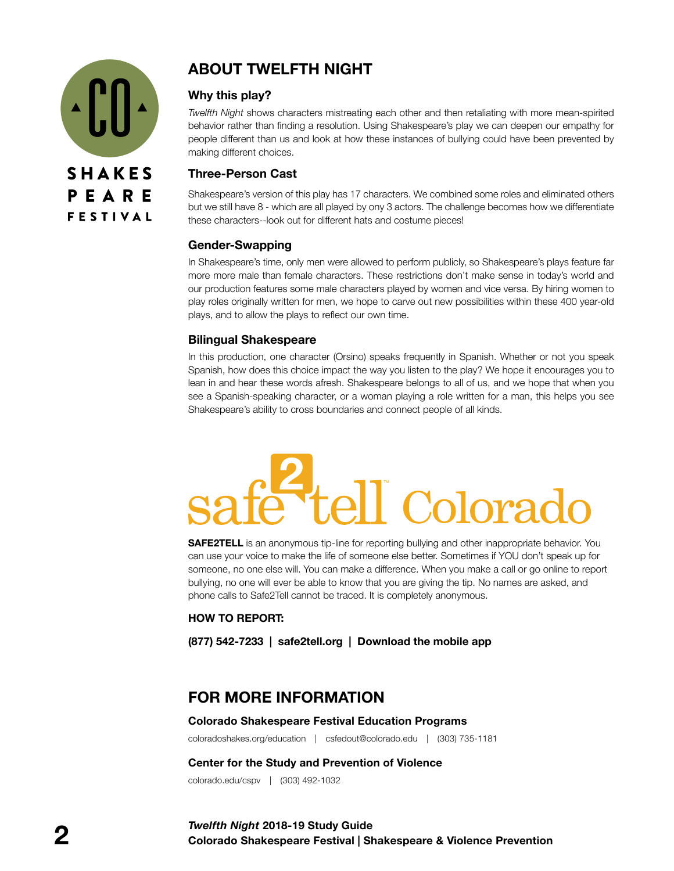

# **ABOUT TWELFTH NIGHT**

### **Why this play?**

*Twelfth Night* shows characters mistreating each other and then retaliating with more mean-spirited behavior rather than finding a resolution. Using Shakespeare's play we can deepen our empathy for people different than us and look at how these instances of bullying could have been prevented by making different choices.

#### **Three-Person Cast**

Shakespeare's version of this play has 17 characters. We combined some roles and eliminated others but we still have 8 - which are all played by ony 3 actors. The challenge becomes how we differentiate these characters--look out for different hats and costume pieces!

### **Gender-Swapping**

In Shakespeare's time, only men were allowed to perform publicly, so Shakespeare's plays feature far more more male than female characters. These restrictions don't make sense in today's world and our production features some male characters played by women and vice versa. By hiring women to play roles originally written for men, we hope to carve out new possibilities within these 400 year-old plays, and to allow the plays to reflect our own time.

### **Bilingual Shakespeare**

In this production, one character (Orsino) speaks frequently in Spanish. Whether or not you speak Spanish, how does this choice impact the way you listen to the play? We hope it encourages you to lean in and hear these words afresh. Shakespeare belongs to all of us, and we hope that when you see a Spanish-speaking character, or a woman playing a role written for a man, this helps you see Shakespeare's ability to cross boundaries and connect people of all kinds.

# Colora

**SAFE2TELL** is an anonymous tip-line for reporting bullying and other inappropriate behavior. You can use your voice to make the life of someone else better. Sometimes if YOU don't speak up for someone, no one else will. You can make a difference. When you make a call or go online to report bullying, no one will ever be able to know that you are giving the tip. No names are asked, and phone calls to Safe2Tell cannot be traced. It is completely anonymous.

#### **HOW TO REPORT:**

**(877) 542-7233 | safe2tell.org | Download the mobile app**

# **FOR MORE INFORMATION**

#### **Colorado Shakespeare Festival Education Programs**

coloradoshakes.org/education | csfedout@colorado.edu | (303) 735-1181

#### **Center for the Study and Prevention of Violence**

colorado.edu/cspv | (303) 492-1032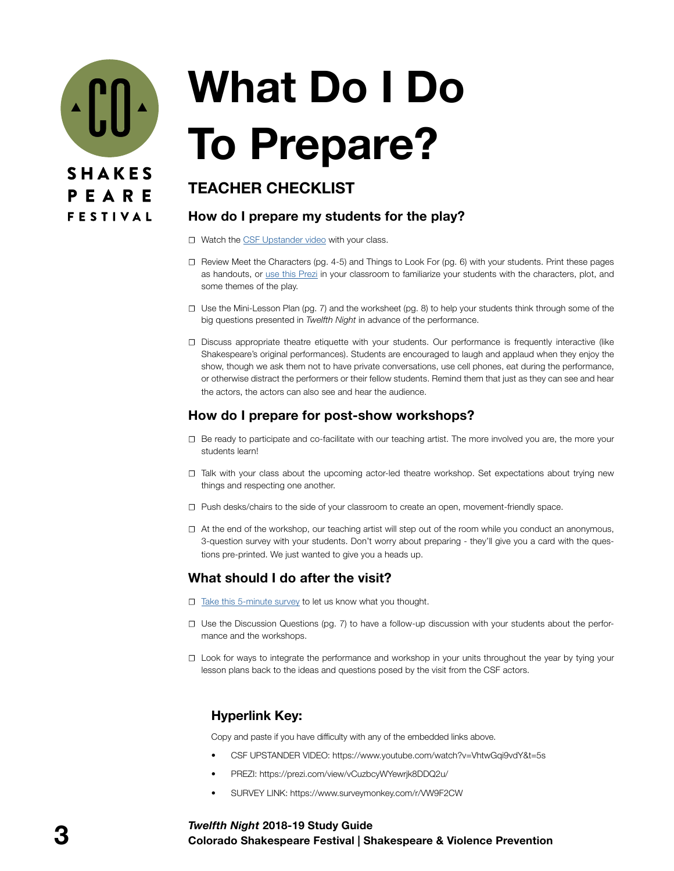

# **What Do I Do To Prepare?**

# **TEACHER CHECKLIST**

### **How do I prepare my students for the play?**

- **☐** Watch the [CSF Upstander video](https://www.youtube.com/watch?v=VhtwGqi9vdY&t=5s) with your class.
- **☐** Review Meet the Characters (pg. 4-5) and Things to Look For (pg. 6) with your students. Print these pages as handouts, or use this [Prezi](https://prezi.com/view/vCuzbcyWYewrjk8DDQ2u/) in your classroom to familiarize your students with the characters, plot, and some themes of the play.
- **☐** Use the Mini-Lesson Plan (pg. 7) and the worksheet (pg. 8) to help your students think through some of the big questions presented in *Twelfth Night* in advance of the performance.
- **☐** Discuss appropriate theatre etiquette with your students. Our performance is frequently interactive (like Shakespeare's original performances). Students are encouraged to laugh and applaud when they enjoy the show, though we ask them not to have private conversations, use cell phones, eat during the performance, or otherwise distract the performers or their fellow students. Remind them that just as they can see and hear the actors, the actors can also see and hear the audience.

# **How do I prepare for post-show workshops?**

- **☐** Be ready to participate and co-facilitate with our teaching artist. The more involved you are, the more your students learn!
- **☐** Talk with your class about the upcoming actor-led theatre workshop. Set expectations about trying new things and respecting one another.
- **☐** Push desks/chairs to the side of your classroom to create an open, movement-friendly space.
- **☐** At the end of the workshop, our teaching artist will step out of the room while you conduct an anonymous, 3-question survey with your students. Don't worry about preparing - they'll give you a card with the questions pre-printed. We just wanted to give you a heads up.

# **What should I do after the visit?**

- **☐** [Take this 5-minute survey](https://www.surveymonkey.com/r/VW9F2CW) to let us know what you thought.
- **☐** Use the Discussion Questions (pg. 7) to have a follow-up discussion with your students about the performance and the workshops.
- **☐** Look for ways to integrate the performance and workshop in your units throughout the year by tying your lesson plans back to the ideas and questions posed by the visit from the CSF actors.

# **Hyperlink Key:**

Copy and paste if you have difficulty with any of the embedded links above.

- CSF UPSTANDER VIDEO: https://www.youtube.com/watch?v=VhtwGqi9vdY&t=5s
- PREZI: https://prezi.com/view/vCuzbcyWYewrjk8DDQ2u/
- SURVEY LINK: https://www.surveymonkey.com/r/VW9F2CW

#### **3 Colorado Shakespeare Festival | Shakespeare & Violence Prevention** *Twelfth Night* **2018-19 Study Guide**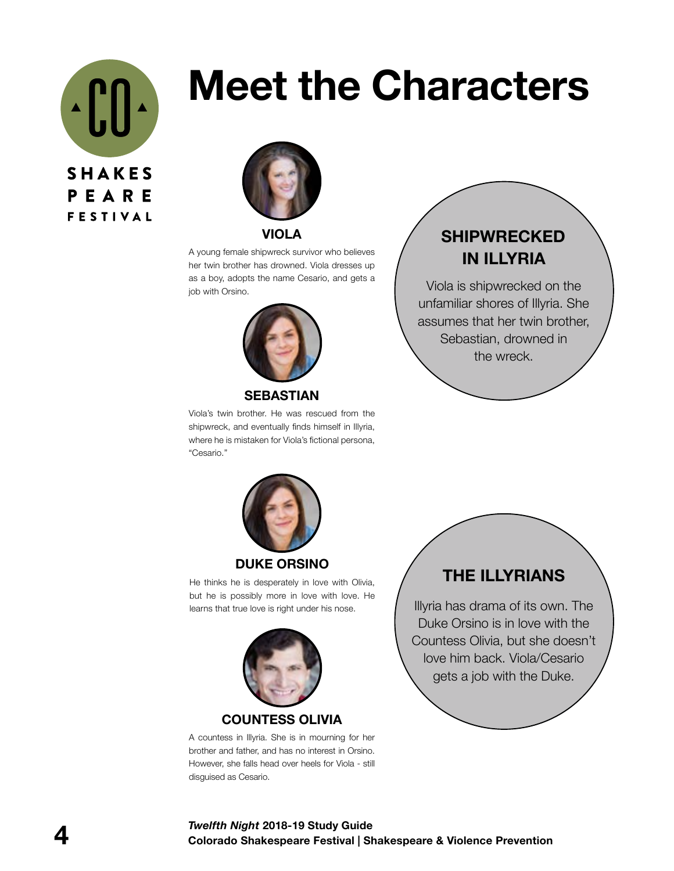

# **Meet the Characters**



**VIOLA**

A young female shipwreck survivor who believes her twin brother has drowned. Viola dresses up as a boy, adopts the name Cesario, and gets a job with Orsino.



**SEBASTIAN**

Viola's twin brother. He was rescued from the shipwreck, and eventually finds himself in Illyria, where he is mistaken for Viola's fictional persona, "Cesario."

# **SHIPWRECKED IN ILLYRIA**

Viola is shipwrecked on the unfamiliar shores of Illyria. She assumes that her twin brother, Sebastian, drowned in the wreck.



#### **DUKE ORSINO**

He thinks he is desperately in love with Olivia, but he is possibly more in love with love. He learns that true love is right under his nose.



#### **COUNTESS OLIVIA**

A countess in Illyria. She is in mourning for her brother and father, and has no interest in Orsino. However, she falls head over heels for Viola - still disguised as Cesario.

# **THE ILLYRIANS**

Illyria has drama of its own. The Duke Orsino is in love with the Countess Olivia, but she doesn't love him back. Viola/Cesario gets a job with the Duke.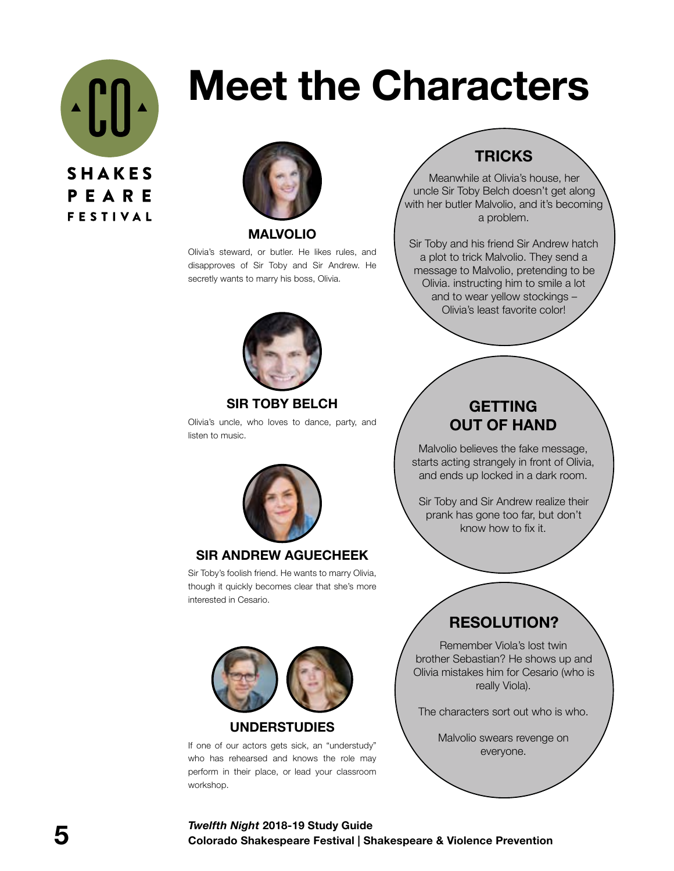

# **Meet the Characters**



**MALVOLIO**

Olivia's steward, or butler. He likes rules, and disapproves of Sir Toby and Sir Andrew. He secretly wants to marry his boss, Olivia.



### **SIR TOBY BELCH**

Olivia's uncle, who loves to dance, party, and listen to music.



#### **SIR ANDREW AGUECHEEK**

Sir Toby's foolish friend. He wants to marry Olivia, though it quickly becomes clear that she's more interested in Cesario.



**UNDERSTUDIES**

If one of our actors gets sick, an "understudy" who has rehearsed and knows the role may perform in their place, or lead your classroom workshop.

# **TRICKS**

Meanwhile at Olivia's house, her uncle Sir Toby Belch doesn't get along with her butler Malvolio, and it's becoming a problem.

Sir Toby and his friend Sir Andrew hatch a plot to trick Malvolio. They send a message to Malvolio, pretending to be Olivia. instructing him to smile a lot and to wear yellow stockings – Olivia's least favorite color!

# **GETTING OUT OF HAND**

Malvolio believes the fake message, starts acting strangely in front of Olivia, and ends up locked in a dark room.

Sir Toby and Sir Andrew realize their prank has gone too far, but don't know how to fix it.

# **RESOLUTION?**

Remember Viola's lost twin brother Sebastian? He shows up and Olivia mistakes him for Cesario (who is really Viola).

The characters sort out who is who.

Malvolio swears revenge on everyone.

#### **5 Colorado Shakespeare Festival | Shakespeare & Violence Prevention** *Twelfth Night* **2018-19 Study Guide**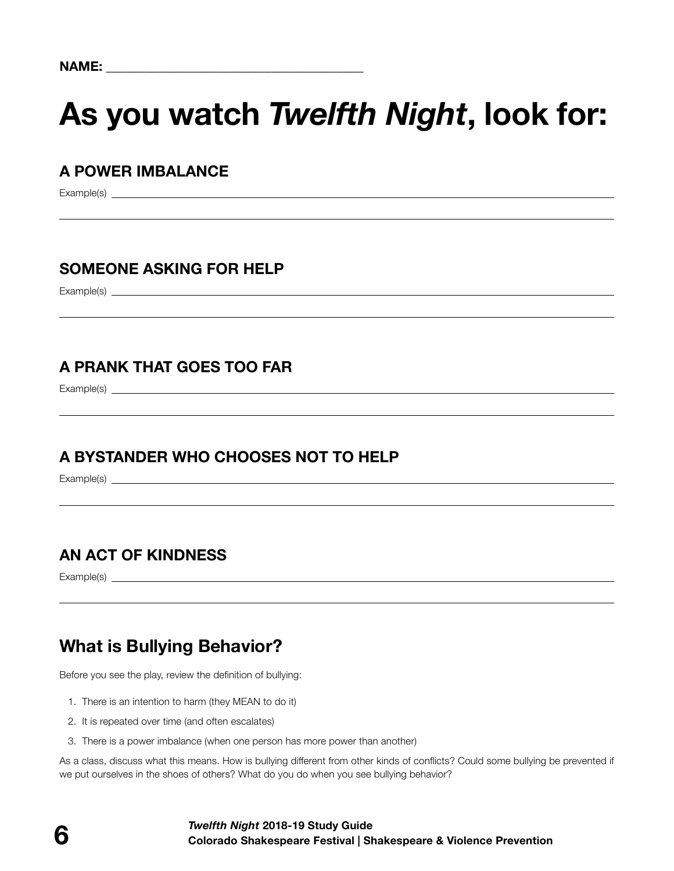# **As you watch** *Twelfth Night***, look for:**

# **A POWER IMBALANCE**

Example(s)

# **SOMEONE ASKING FOR HELP**

Example(s)

# **A PRANK THAT GOES TOO FAR**

Example(s)

# **A BYSTANDER WHO CHOOSES NOT TO HELP**

Example(s) example(s)

# **AN ACT OF KINDNESS**

Example(s) <u>example</u> (s) and the set of the set of the set of the set of the set of the set of the set of the set of the set of the set of the set of the set of the set of the set of the set of the set of the set of the se

# **What is Bullying Behavior?**

Before you see the play, review the definition of bullying:

- 1. There is an intention to harm (they MEAN to do it)
- 2. It is repeated over time (and often escalates)
- 3. There is a power imbalance (when one person has more power than another)

As a class, discuss what this means. How is bullying different from other kinds of conflicts? Could some bullying be prevented if we put ourselves in the shoes of others? What do you do when you see bullying behavior?

#### **6 Coloration** Colorado Shakespeare Festival | Shakespeare & Violence Prevention *Twelfth Night* **2018-19 Study Guide**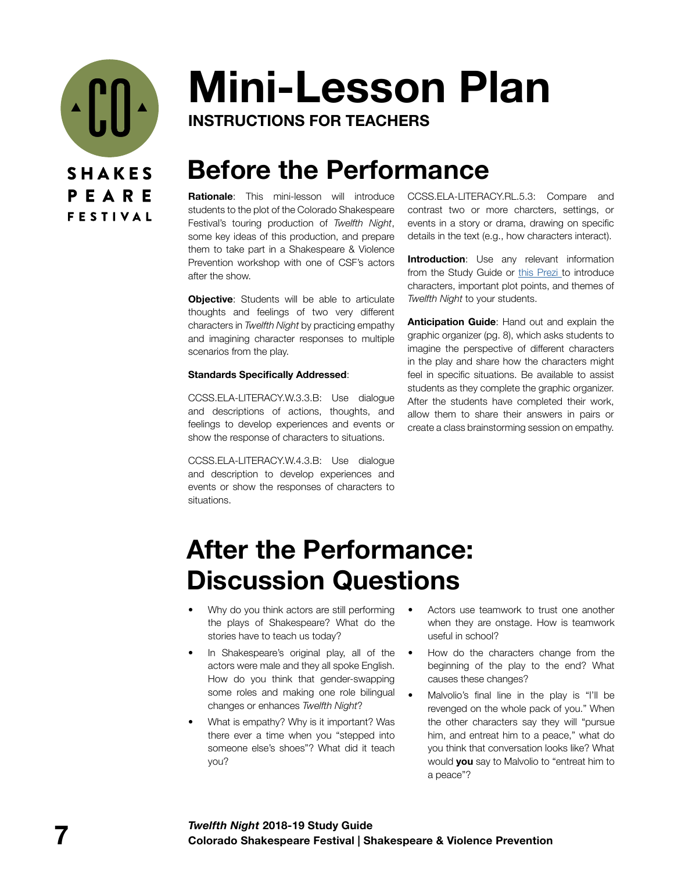

# **Mini-Lesson Plan**

**INSTRUCTIONS FOR TEACHERS**

# **Before the Performance**

**Rationale**: This mini-lesson will introduce students to the plot of the Colorado Shakespeare Festival's touring production of *Twelfth Night*, some key ideas of this production, and prepare them to take part in a Shakespeare & Violence Prevention workshop with one of CSF's actors after the show.

**Objective:** Students will be able to articulate thoughts and feelings of two very different characters in *Twelfth Night* by practicing empathy and imagining character responses to multiple scenarios from the play.

#### **Standards Specifically Addressed**:

CCSS.ELA-LITERACY.W.3.3.B: Use dialogue and descriptions of actions, thoughts, and feelings to develop experiences and events or show the response of characters to situations.

CCSS.ELA-LITERACY.W.4.3.B: Use dialogue and description to develop experiences and events or show the responses of characters to situations.

CCSS.ELA-LITERACY.RL.5.3: Compare and contrast two or more charcters, settings, or events in a story or drama, drawing on specific details in the text (e.g., how characters interact).

**Introduction**: Use any relevant information from the Study Guide or [this Prezi t](https://prezi.com/view/vCuzbcyWYewrjk8DDQ2u/)o introduce characters, important plot points, and themes of *Twelfth Night* to your students.

**Anticipation Guide**: Hand out and explain the graphic organizer (pg. 8), which asks students to imagine the perspective of different characters in the play and share how the characters might feel in specific situations. Be available to assist students as they complete the graphic organizer. After the students have completed their work, allow them to share their answers in pairs or create a class brainstorming session on empathy.

# **After the Performance: Discussion Questions**

- Why do you think actors are still performing the plays of Shakespeare? What do the stories have to teach us today?
- In Shakespeare's original play, all of the actors were male and they all spoke English. How do you think that gender-swapping some roles and making one role bilingual changes or enhances *Twelfth Night*?
- What is empathy? Why is it important? Was there ever a time when you "stepped into someone else's shoes"? What did it teach you?
- Actors use teamwork to trust one another when they are onstage. How is teamwork useful in school?
- How do the characters change from the beginning of the play to the end? What causes these changes?
- Malvolio's final line in the play is "I'll be revenged on the whole pack of you." When the other characters say they will "pursue him, and entreat him to a peace," what do you think that conversation looks like? What would **you** say to Malvolio to "entreat him to a peace"?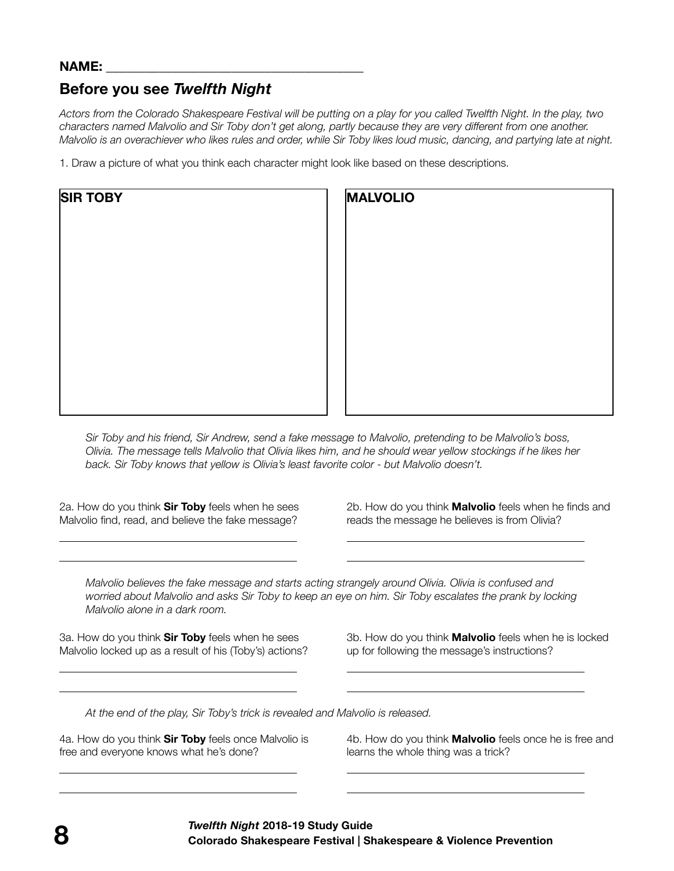### **NAME: \_\_\_\_\_\_\_\_\_\_\_\_\_\_\_\_\_\_\_\_\_\_\_\_\_\_\_\_\_\_\_\_\_\_\_\_\_\_\_**

# **Before you see** *Twelfth Night*

*Actors from the Colorado Shakespeare Festival will be putting on a play for you called Twelfth Night. In the play, two characters named Malvolio and Sir Toby don't get along, partly because they are very different from one another. Malvolio is an overachiever who likes rules and order, while Sir Toby likes loud music, dancing, and partying late at night.*

1. Draw a picture of what you think each character might look like based on these descriptions.

| <b>SIR TOBY</b> | <b>MALVOLIO</b> |  |
|-----------------|-----------------|--|
|                 |                 |  |
|                 |                 |  |
|                 |                 |  |
|                 |                 |  |
|                 |                 |  |
|                 |                 |  |

*Sir Toby and his friend, Sir Andrew, send a fake message to Malvolio, pretending to be Malvolio's boss, Olivia. The message tells Malvolio that Olivia likes him, and he should wear yellow stockings if he likes her back. Sir Toby knows that yellow is Olivia's least favorite color - but Malvolio doesn't.*

2a. How do you think **Sir Toby** feels when he sees Malvolio find, read, and believe the fake message?

2b. How do you think **Malvolio** feels when he finds and reads the message he believes is from Olivia?

*Malvolio believes the fake message and starts acting strangely around Olivia. Olivia is confused and worried about Malvolio and asks Sir Toby to keep an eye on him. Sir Toby escalates the prank by locking Malvolio alone in a dark room.*

 $\overline{a}$  $\overline{a}$ 

 $\overline{a}$  $\overline{a}$ 

 $\overline{a}$  $\overline{a}$ 

3a. How do you think **Sir Toby** feels when he sees Malvolio locked up as a result of his (Toby's) actions? 3b. How do you think **Malvolio** feels when he is locked up for following the message's instructions?

*At the end of the play, Sir Toby's trick is revealed and Malvolio is released.*

4a. How do you think **Sir Toby** feels once Malvolio is free and everyone knows what he's done?

4b. How do you think **Malvolio** feels once he is free and learns the whole thing was a trick?

 $\overline{a}$  $\overline{a}$ 

 $\overline{a}$  $\overline{a}$ 

 $\overline{a}$  $\overline{a}$